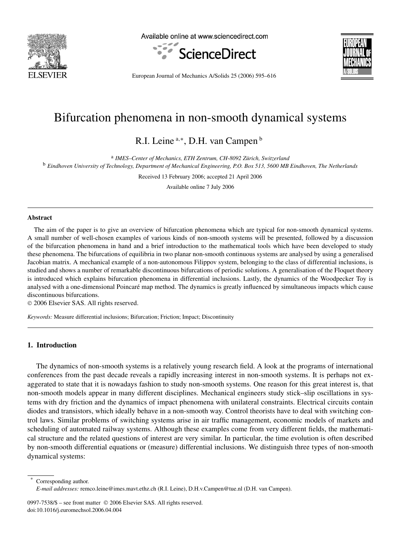

Available online at www.sciencedirect.com





European Journal of Mechanics A/Solids 25 (2006) 595–616

# Bifurcation phenomena in non-smooth dynamical systems

R.I. Leine<sup>a,∗</sup>, D.H. van Campen<sup>b</sup>

<sup>a</sup> *IMES–Center of Mechanics, ETH Zentrum, CH-8092 Zürich, Switzerland*

<sup>b</sup> *Eindhoven University of Technology, Department of Mechanical Engineering, P.O. Box 513, 5600 MB Eindhoven, The Netherlands*

Received 13 February 2006; accepted 21 April 2006

Available online 7 July 2006

#### **Abstract**

The aim of the paper is to give an overview of bifurcation phenomena which are typical for non-smooth dynamical systems. A small number of well-chosen examples of various kinds of non-smooth systems will be presented, followed by a discussion of the bifurcation phenomena in hand and a brief introduction to the mathematical tools which have been developed to study these phenomena. The bifurcations of equilibria in two planar non-smooth continuous systems are analysed by using a generalised Jacobian matrix. A mechanical example of a non-autonomous Filippov system, belonging to the class of differential inclusions, is studied and shows a number of remarkable discontinuous bifurcations of periodic solutions. A generalisation of the Floquet theory is introduced which explains bifurcation phenomena in differential inclusions. Lastly, the dynamics of the Woodpecker Toy is analysed with a one-dimensional Poincaré map method. The dynamics is greatly influenced by simultaneous impacts which cause discontinuous bifurcations.

© 2006 Elsevier SAS. All rights reserved.

*Keywords:* Measure differential inclusions; Bifurcation; Friction; Impact; Discontinuity

# **1. Introduction**

The dynamics of non-smooth systems is a relatively young research field. A look at the programs of international conferences from the past decade reveals a rapidly increasing interest in non-smooth systems. It is perhaps not exaggerated to state that it is nowadays fashion to study non-smooth systems. One reason for this great interest is, that non-smooth models appear in many different disciplines. Mechanical engineers study stick–slip oscillations in systems with dry friction and the dynamics of impact phenomena with unilateral constraints. Electrical circuits contain diodes and transistors, which ideally behave in a non-smooth way. Control theorists have to deal with switching control laws. Similar problems of switching systems arise in air traffic management, economic models of markets and scheduling of automated railway systems. Although these examples come from very different fields, the mathematical structure and the related questions of interest are very similar. In particular, the time evolution is often described by non-smooth differential equations or (measure) differential inclusions. We distinguish three types of non-smooth dynamical systems:

Corresponding author.

0997-7538/\$ – see front matter © 2006 Elsevier SAS. All rights reserved. doi:10.1016/j.euromechsol.2006.04.004

*E-mail addresses:* remco.leine@imes.mavt.ethz.ch (R.I. Leine), D.H.v.Campen@tue.nl (D.H. van Campen).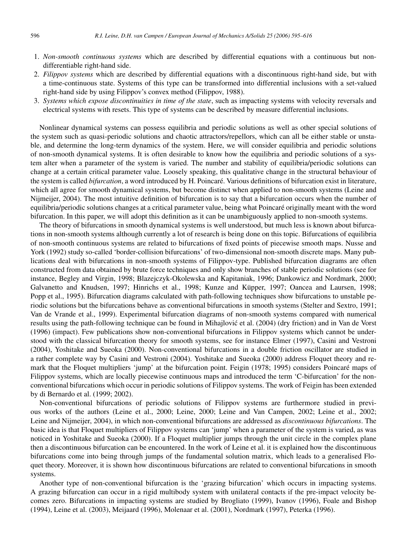- 1. *Non-smooth continuous systems* which are described by differential equations with a continuous but nondifferentiable right-hand side.
- 2. *Filippov systems* which are described by differential equations with a discontinuous right-hand side, but with a time-continuous state. Systems of this type can be transformed into differential inclusions with a set-valued right-hand side by using Filippov's convex method (Filippov, 1988).
- 3. *Systems which expose discontinuities in time of the state*, such as impacting systems with velocity reversals and electrical systems with resets. This type of systems can be described by measure differential inclusions.

Nonlinear dynamical systems can possess equilibria and periodic solutions as well as other special solutions of the system such as quasi-periodic solutions and chaotic attractors/repellors, which can all be either stable or unstable, and determine the long-term dynamics of the system. Here, we will consider equilibria and periodic solutions of non-smooth dynamical systems. It is often desirable to know how the equilibria and periodic solutions of a system alter when a parameter of the system is varied. The number and stability of equilibria/periodic solutions can change at a certain critical parameter value. Loosely speaking, this qualitative change in the structural behaviour of the system is called *bifurcation*, a word introduced by H. Poincaré. Various definitions of bifurcation exist in literature, which all agree for smooth dynamical systems, but become distinct when applied to non-smooth systems (Leine and Nijmeijer, 2004). The most intuitive definition of bifurcation is to say that a bifurcation occurs when the number of equilibria/periodic solutions changes at a critical parameter value, being what Poincaré originally meant with the word bifurcation. In this paper, we will adopt this definition as it can be unambiguously applied to non-smooth systems.

The theory of bifurcations in smooth dynamical systems is well understood, but much less is known about bifurcations in non-smooth systems although currently a lot of research is being done on this topic. Bifurcations of equilibria of non-smooth continuous systems are related to bifurcations of fixed points of piecewise smooth maps. Nusse and York (1992) study so-called 'border-collision bifurcations' of two-dimensional non-smooth discrete maps. Many publications deal with bifurcations in non-smooth systems of Filippov-type. Published bifurcation diagrams are often constructed from data obtained by brute force techniques and only show branches of stable periodic solutions (see for instance, Begley and Virgin, 1998; Blazejczyk-Okolewska and Kapitaniak, 1996; Dankowicz and Nordmark, 2000; Galvanetto and Knudsen, 1997; Hinrichs et al., 1998; Kunze and Küpper, 1997; Oancea and Laursen, 1998; Popp et al., 1995). Bifurcation diagrams calculated with path-following techniques show bifurcations to unstable periodic solutions but the bifurcations behave as conventional bifurcations in smooth systems (Stelter and Sextro, 1991; Van de Vrande et al., 1999). Experimental bifurcation diagrams of non-smooth systems compared with numerical results using the path-following technique can be found in Mihajlovic et al. (2004) (dry friction) and in Van de Vorst ´ (1996) (impact). Few publications show non-conventional bifurcations in Filippov systems which cannot be understood with the classical bifurcation theory for smooth systems, see for instance Elmer (1997), Casini and Vestroni (2004), Yoshitake and Sueoka (2000). Non-conventional bifurcations in a double friction oscillator are studied in a rather complete way by Casini and Vestroni (2004). Yoshitake and Sueoka (2000) address Floquet theory and remark that the Floquet multipliers 'jump' at the bifurcation point. Feigin (1978; 1995) considers Poincaré maps of Filippov systems, which are locally piecewise continuous maps and introduced the term 'C-bifurcation' for the nonconventional bifurcations which occur in periodic solutions of Filippov systems. The work of Feigin has been extended by di Bernardo et al. (1999; 2002).

Non-conventional bifurcations of periodic solutions of Filippov systems are furthermore studied in previous works of the authors (Leine et al., 2000; Leine, 2000; Leine and Van Campen, 2002; Leine et al., 2002; Leine and Nijmeijer, 2004), in which non-conventional bifurcations are addressed as *discontinuous bifurcations*. The basic idea is that Floquet multipliers of Filippov systems can 'jump' when a parameter of the system is varied, as was noticed in Yoshitake and Sueoka (2000). If a Floquet multiplier jumps through the unit circle in the complex plane then a discontinuous bifurcation can be encountered. In the work of Leine et al. it is explained how the discontinuous bifurcations come into being through jumps of the fundamental solution matrix, which leads to a generalised Floquet theory. Moreover, it is shown how discontinuous bifurcations are related to conventional bifurcations in smooth systems.

Another type of non-conventional bifurcation is the 'grazing bifurcation' which occurs in impacting systems. A grazing bifurcation can occur in a rigid multibody system with unilateral contacts if the pre-impact velocity becomes zero. Bifurcations in impacting systems are studied by Brogliato (1999), Ivanov (1996), Foale and Bishop (1994), Leine et al. (2003), Meijaard (1996), Molenaar et al. (2001), Nordmark (1997), Peterka (1996).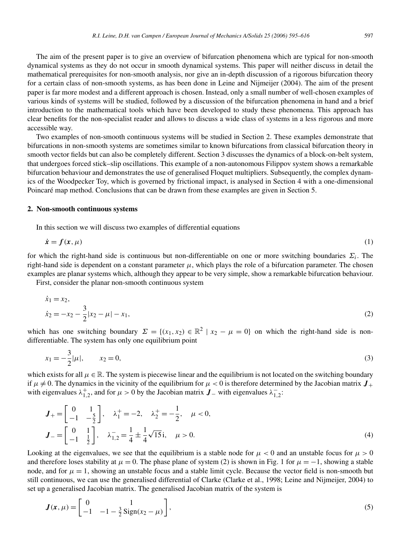The aim of the present paper is to give an overview of bifurcation phenomena which are typical for non-smooth dynamical systems as they do not occur in smooth dynamical systems. This paper will neither discuss in detail the mathematical prerequisites for non-smooth analysis, nor give an in-depth discussion of a rigorous bifurcation theory for a certain class of non-smooth systems, as has been done in Leine and Nijmeijer (2004). The aim of the present paper is far more modest and a different approach is chosen. Instead, only a small number of well-chosen examples of various kinds of systems will be studied, followed by a discussion of the bifurcation phenomena in hand and a brief introduction to the mathematical tools which have been developed to study these phenomena. This approach has clear benefits for the non-specialist reader and allows to discuss a wide class of systems in a less rigorous and more accessible way.

Two examples of non-smooth continuous systems will be studied in Section 2. These examples demonstrate that bifurcations in non-smooth systems are sometimes similar to known bifurcations from classical bifurcation theory in smooth vector fields but can also be completely different. Section 3 discusses the dynamics of a block-on-belt system, that undergoes forced stick–slip oscillations. This example of a non-autonomous Filippov system shows a remarkable bifurcation behaviour and demonstrates the use of generalised Floquet multipliers. Subsequently, the complex dynamics of the Woodpecker Toy, which is governed by frictional impact, is analysed in Section 4 with a one-dimensional Poincaré map method. Conclusions that can be drawn from these examples are given in Section 5.

## **2. Non-smooth continuous systems**

In this section we will discuss two examples of differential equations

$$
\dot{\mathbf{x}} = f(\mathbf{x}, \mu) \tag{1}
$$

for which the right-hand side is continuous but non-differentiable on one or more switching boundaries *Σi*. The right-hand side is dependent on a constant parameter  $\mu$ , which plays the role of a bifurcation parameter. The chosen examples are planar systems which, although they appear to be very simple, show a remarkable bifurcation behaviour.

First, consider the planar non-smooth continuous system

$$
\begin{aligned} \dot{x}_1 &= x_2, \\ \dot{x}_2 &= -x_2 - \frac{3}{2}|x_2 - \mu| - x_1, \end{aligned} \tag{2}
$$

which has one switching boundary  $\Sigma = \{(x_1, x_2) \in \mathbb{R}^2 \mid x_2 - \mu = 0\}$  on which the right-hand side is nondifferentiable. The system has only one equilibrium point

$$
x_1 = -\frac{3}{2}|\mu|, \qquad x_2 = 0,\tag{3}
$$

which exists for all  $\mu \in \mathbb{R}$ . The system is piecewise linear and the equilibrium is not located on the switching boundary if  $\mu \neq 0$ . The dynamics in the vicinity of the equilibrium for  $\mu < 0$  is therefore determined by the Jacobian matrix  $J_+$ with eigenvalues  $\lambda_{1,2}^+$ , and for  $\mu > 0$  by the Jacobian matrix  $J$  – with eigenvalues  $\lambda_{1,2}^-$ .

$$
\mathbf{J}_{+} = \begin{bmatrix} 0 & 1 \\ -1 & -\frac{5}{2} \end{bmatrix}, \quad \lambda_{1}^{+} = -2, \quad \lambda_{2}^{+} = -\frac{1}{2}, \quad \mu < 0,
$$
  

$$
\mathbf{J}_{-} = \begin{bmatrix} 0 & 1 \\ -1 & \frac{1}{2} \end{bmatrix}, \quad \lambda_{1,2}^{-} = \frac{1}{4} \pm \frac{1}{4} \sqrt{15} \, \mathbf{i}, \quad \mu > 0.
$$
 (4)

Looking at the eigenvalues, we see that the equilibrium is a stable node for  $\mu < 0$  and an unstable focus for  $\mu > 0$ and therefore loses stability at  $\mu = 0$ . The phase plane of system (2) is shown in Fig. 1 for  $\mu = -1$ , showing a stable node, and for  $\mu = 1$ , showing an unstable focus and a stable limit cycle. Because the vector field is non-smooth but still continuous, we can use the generalised differential of Clarke (Clarke et al., 1998; Leine and Nijmeijer, 2004) to set up a generalised Jacobian matrix. The generalised Jacobian matrix of the system is

$$
J(x,\mu) = \begin{bmatrix} 0 & 1 \\ -1 & -1 - \frac{3}{2} \text{Sign}(x_2 - \mu) \end{bmatrix},
$$
 (5)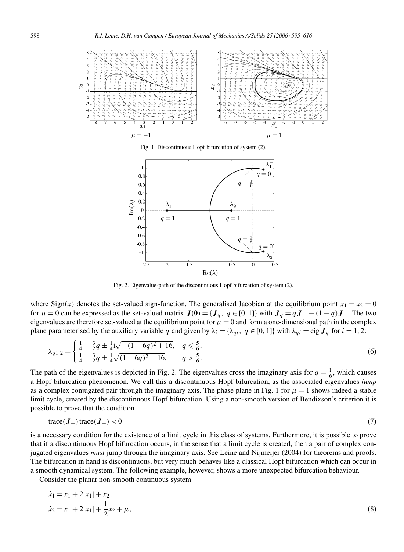

Fig. 1. Discontinuous Hopf bifurcation of system (2).



Fig. 2. Eigenvalue-path of the discontinuous Hopf bifurcation of system (2).

where Sign(x) denotes the set-valued sign-function. The generalised Jacobian at the equilibrium point  $x_1 = x_2 = 0$ for  $\mu = 0$  can be expressed as the set-valued matrix  $J(0) = \{J_q, q \in [0, 1]\}$  with  $J_q = qJ_+ + (1 - q)J_-$ . The two eigenvalues are therefore set-valued at the equilibrium point for  $\mu = 0$  and form a one-dimensional path in the complex plane parameterised by the auxiliary variable *q* and given by  $\lambda_i = {\lambda_{qi}}$ ,  $q \in [0, 1]$ } with  $\lambda_{qi} = \text{eig } J_q$  for  $i = 1, 2$ :

$$
\lambda_{q1,2} = \begin{cases} \frac{1}{4} - \frac{3}{2}q \pm \frac{1}{4}i\sqrt{-(1 - 6q)^2 + 16}, & q \le \frac{5}{6}, \\ \frac{1}{4} - \frac{3}{2}q \pm \frac{1}{4}\sqrt{(1 - 6q)^2 - 16}, & q > \frac{5}{6}. \end{cases}
$$
(6)

The path of the eigenvalues is depicted in Fig. 2. The eigenvalues cross the imaginary axis for  $q = \frac{1}{6}$ , which causes a Hopf bifurcation phenomenon. We call this a discontinuous Hopf bifurcation, as the associated eigenvalues *jump* as a complex conjugated pair through the imaginary axis. The phase plane in Fig. 1 for  $\mu = 1$  shows indeed a stable limit cycle, created by the discontinuous Hopf bifurcation. Using a non-smooth version of Bendixson's criterion it is possible to prove that the condition

$$
trace(\boldsymbol{J}_{+})trace(\boldsymbol{J}_{-})<0\tag{7}
$$

is a necessary condition for the existence of a limit cycle in this class of systems. Furthermore, it is possible to prove that if a discontinuous Hopf bifurcation occurs, in the sense that a limit cycle is created, then a pair of complex conjugated eigenvalues *must* jump through the imaginary axis. See Leine and Nijmeijer (2004) for theorems and proofs. The bifurcation in hand is discontinuous, but very much behaves like a classical Hopf bifurcation which can occur in a smooth dynamical system. The following example, however, shows a more unexpected bifurcation behaviour.

Consider the planar non-smooth continuous system

$$
\begin{aligned} \dot{x}_1 &= x_1 + 2|x_1| + x_2, \\ \dot{x}_2 &= x_1 + 2|x_1| + \frac{1}{2}x_2 + \mu, \end{aligned} \tag{8}
$$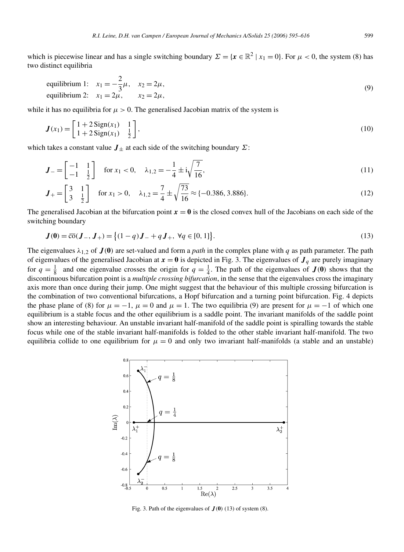which is piecewise linear and has a single switching boundary  $\Sigma = \{x \in \mathbb{R}^2 \mid x_1 = 0\}$ . For  $\mu < 0$ , the system (8) has two distinct equilibria

equilibrium 1: 
$$
x_1 = -\frac{2}{3}\mu
$$
,  $x_2 = 2\mu$ ,  
equilibrium 2:  $x_1 = 2\mu$ ,  $x_2 = 2\mu$ ,  $(9)$ 

while it has no equilibria for  $\mu > 0$ . The generalised Jacobian matrix of the system is

$$
J(x_1) = \begin{bmatrix} 1 + 2\operatorname{Sign}(x_1) & 1 \\ 1 + 2\operatorname{Sign}(x_1) & \frac{1}{2} \end{bmatrix},\tag{10}
$$

which takes a constant value  $J_+$  at each side of the switching boundary  $\Sigma$ :

$$
\mathbf{J}_{-} = \begin{bmatrix} -1 & 1 \\ -1 & \frac{1}{2} \end{bmatrix} \quad \text{for } x_1 < 0, \quad \lambda_{1,2} = -\frac{1}{4} \pm i\sqrt{\frac{7}{16}},\tag{11}
$$

$$
\boldsymbol{J}_{+} = \begin{bmatrix} 3 & 1 \\ 3 & \frac{1}{2} \end{bmatrix} \quad \text{for } x_1 > 0, \quad \lambda_{1,2} = \frac{7}{4} \pm \sqrt{\frac{73}{16}} \approx \{-0.386, 3.886\}.
$$
 (12)

The generalised Jacobian at the bifurcation point  $x = 0$  is the closed convex hull of the Jacobians on each side of the switching boundary

$$
\mathbf{J}(\mathbf{0}) = \overline{\mathrm{co}}(\mathbf{J}_-, \mathbf{J}_+) = \{ (1-q)\mathbf{J}_- + q\mathbf{J}_+, \ \forall q \in [0,1] \}. \tag{13}
$$

The eigenvalues  $\lambda_{1,2}$  of  $J(0)$  are set-valued and form a *path* in the complex plane with *q* as path parameter. The path of eigenvalues of the generalised Jacobian at  $x = 0$  is depicted in Fig. 3. The eigenvalues of  $J_q$  are purely imaginary for  $q = \frac{1}{8}$  and one eigenvalue crosses the origin for  $q = \frac{1}{4}$ . The path of the eigenvalues of  $J(0)$  shows that the discontinuous bifurcation point is a *multiple crossing bifurcation*, in the sense that the eigenvalues cross the imaginary axis more than once during their jump. One might suggest that the behaviour of this multiple crossing bifurcation is the combination of two conventional bifurcations, a Hopf bifurcation and a turning point bifurcation. Fig. 4 depicts the phase plane of (8) for  $\mu = -1$ ,  $\mu = 0$  and  $\mu = 1$ . The two equilibria (9) are present for  $\mu = -1$  of which one equilibrium is a stable focus and the other equilibrium is a saddle point. The invariant manifolds of the saddle point show an interesting behaviour. An unstable invariant half-manifold of the saddle point is spiralling towards the stable focus while one of the stable invariant half-manifolds is folded to the other stable invariant half-manifold. The two equilibria collide to one equilibrium for  $\mu = 0$  and only two invariant half-manifolds (a stable and an unstable)



Fig. 3. Path of the eigenvalues of  $J(0)$  (13) of system (8).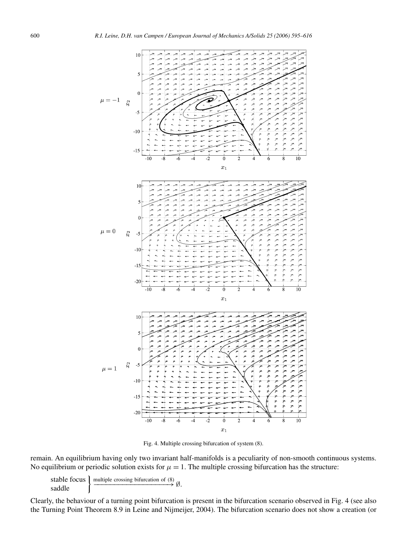

Fig. 4. Multiple crossing bifurcation of system (8).

remain. An equilibrium having only two invariant half-manifolds is a peculiarity of non-smooth continuous systems. No equilibrium or periodic solution exists for  $\mu = 1$ . The multiple crossing bifurcation has the structure:

stable focus  $\Big\}$  multiple crossing bifurcation of (8)  $\emptyset$ .

Clearly, the behaviour of a turning point bifurcation is present in the bifurcation scenario observed in Fig. 4 (see also the Turning Point Theorem 8.9 in Leine and Nijmeijer, 2004). The bifurcation scenario does not show a creation (or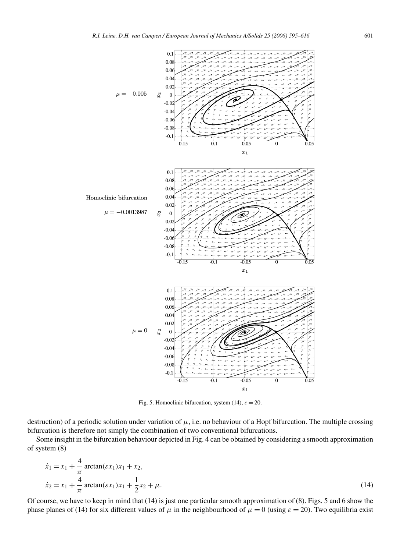

Fig. 5. Homoclinic bifurcation, system (14),  $\varepsilon = 20$ .

destruction) of a periodic solution under variation of *μ*, i.e. no behaviour of a Hopf bifurcation. The multiple crossing bifurcation is therefore not simply the combination of two conventional bifurcations.

Some insight in the bifurcation behaviour depicted in Fig. 4 can be obtained by considering a smooth approximation of system (8)

$$
\begin{aligned}\n\dot{x}_1 &= x_1 + \frac{4}{\pi} \arctan(\varepsilon x_1) x_1 + x_2, \\
\dot{x}_2 &= x_1 + \frac{4}{\pi} \arctan(\varepsilon x_1) x_1 + \frac{1}{2} x_2 + \mu.\n\end{aligned} \tag{14}
$$

Of course, we have to keep in mind that (14) is just one particular smooth approximation of (8). Figs. 5 and 6 show the phase planes of (14) for six different values of  $\mu$  in the neighbourhood of  $\mu = 0$  (using  $\varepsilon = 20$ ). Two equilibria exist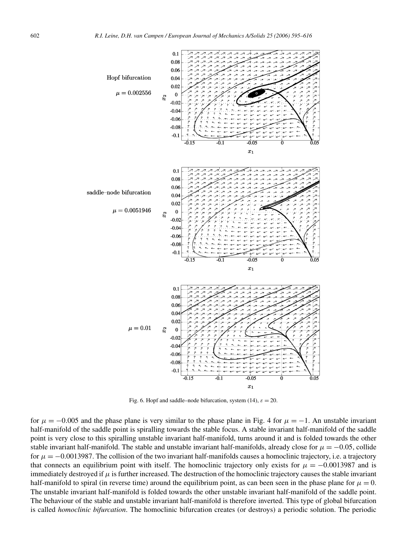

Fig. 6. Hopf and saddle–node bifurcation, system (14),  $\varepsilon = 20$ .

for  $\mu = -0.005$  and the phase plane is very similar to the phase plane in Fig. 4 for  $\mu = -1$ . An unstable invariant half-manifold of the saddle point is spiralling towards the stable focus. A stable invariant half-manifold of the saddle point is very close to this spiralling unstable invariant half-manifold, turns around it and is folded towards the other stable invariant half-manifold. The stable and unstable invariant half-manifolds, already close for  $\mu = -0.05$ , collide for  $\mu = -0.0013987$ . The collision of the two invariant half-manifolds causes a homoclinic trajectory, i.e. a trajectory that connects an equilibrium point with itself. The homoclinic trajectory only exists for  $\mu = -0.0013987$  and is immediately destroyed if  $\mu$  is further increased. The destruction of the homoclinic trajectory causes the stable invariant half-manifold to spiral (in reverse time) around the equilibrium point, as can been seen in the phase plane for  $\mu = 0$ . The unstable invariant half-manifold is folded towards the other unstable invariant half-manifold of the saddle point. The behaviour of the stable and unstable invariant half-manifold is therefore inverted. This type of global bifurcation is called *homoclinic bifurcation*. The homoclinic bifurcation creates (or destroys) a periodic solution. The periodic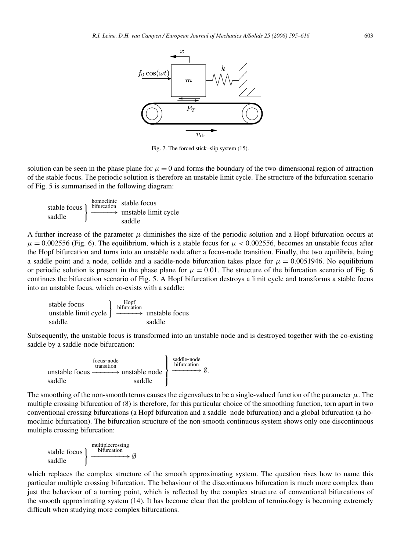

Fig. 7. The forced stick–slip system (15).

solution can be seen in the phase plane for  $\mu = 0$  and forms the boundary of the two-dimensional region of attraction of the stable focus. The periodic solution is therefore an unstable limit cycle. The structure of the bifurcation scenario of Fig. 5 is summarised in the following diagram:

stable focus saddle homoclinic stable focus bifurcation −−−−−→ unstable limit cycle saddle

A further increase of the parameter  $\mu$  diminishes the size of the periodic solution and a Hopf bifurcation occurs at  $\mu$  = 0.002556 (Fig. 6). The equilibrium, which is a stable focus for  $\mu$  < 0.002556, becomes an unstable focus after the Hopf bifurcation and turns into an unstable node after a focus-node transition. Finally, the two equilibria, being a saddle point and a node, collide and a saddle-node bifurcation takes place for  $\mu = 0.0051946$ . No equilibrium or periodic solution is present in the phase plane for  $\mu = 0.01$ . The structure of the bifurcation scenario of Fig. 6 continues the bifurcation scenario of Fig. 5. A Hopf bifurcation destroys a limit cycle and transforms a stable focus into an unstable focus, which co-exists with a saddle:

stable focus  $\left\{\n \begin{array}{r}\n \text{Hopf} \\
 \text{bifurcation} \\
 \text{unstable focus}\n \end{array}\n\right.$ saddle saddle

Subsequently, the unstable focus is transformed into an unstable node and is destroyed together with the co-existing saddle by a saddle-node bifurcation:



The smoothing of the non-smooth terms causes the eigenvalues to be a single-valued function of the parameter  $\mu$ . The multiple crossing bifurcation of (8) is therefore, for this particular choice of the smoothing function, torn apart in two conventional crossing bifurcations (a Hopf bifurcation and a saddle–node bifurcation) and a global bifurcation (a homoclinic bifurcation). The bifurcation structure of the non-smooth continuous system shows only one discontinuous multiple crossing bifurcation:

stable focus 
$$
\begin{array}{c}\text{multiplexessing} \\ \text{saddle} \end{array} \rightarrow \emptyset
$$

which replaces the complex structure of the smooth approximating system. The question rises how to name this particular multiple crossing bifurcation. The behaviour of the discontinuous bifurcation is much more complex than just the behaviour of a turning point, which is reflected by the complex structure of conventional bifurcations of the smooth approximating system (14). It has become clear that the problem of terminology is becoming extremely difficult when studying more complex bifurcations.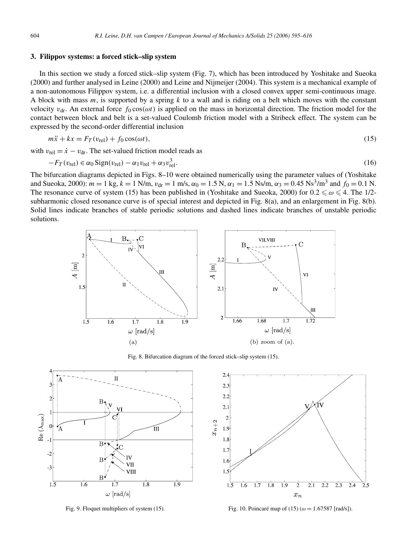#### **3. Filippov systems: a forced stick–slip system**

In this section we study a forced stick–slip system (Fig. 7), which has been introduced by Yoshitake and Sueoka (2000) and further analysed in Leine (2000) and Leine and Nijmeijer (2004). This system is a mechanical example of a non-autonomous Filippov system, i.e. a differential inclusion with a closed convex upper semi-continuous image. A block with mass *m*, is supported by a spring *k* to a wall and is riding on a belt which moves with the constant velocity  $v_{dr}$ . An external force  $f_0 \cos(\omega t)$  is applied on the mass in horizontal direction. The friction model for the contact between block and belt is a set-valued Coulomb friction model with a Stribeck effect. The system can be expressed by the second-order differential inclusion

$$
m\ddot{x} + kx = F_T(v_{\text{rel}}) + f_0 \cos(\omega t),\tag{15}
$$

with  $v_{\text{rel}} = \dot{x} - v_{\text{dr}}$ . The set-valued friction model reads as

$$
-F_T(v_{\rm rel}) \in \alpha_0 \operatorname{Sign}(v_{\rm rel}) - \alpha_1 v_{\rm rel} + \alpha_3 v_{\rm rel}^3. \tag{16}
$$

The bifurcation diagrams depicted in Figs. 8–10 were obtained numerically using the parameter values of (Yoshitake and Sueoka, 2000):  $m = 1$  kg,  $k = 1$  N/m,  $v_{dr} = 1$  m/s,  $\alpha_0 = 1.5$  N,  $\alpha_1 = 1.5$  Ns/m,  $\alpha_3 = 0.45$  Ns<sup>3</sup>/m<sup>3</sup> and  $f_0 = 0.1$  N. The resonance curve of system (15) has been published in (Yoshitake and Sueoka, 2000) for  $0.2 \le \omega \le 4$ . The 1/2subharmonic closed resonance curve is of special interest and depicted in Fig. 8(a), and an enlargement in Fig. 8(b). Solid lines indicate branches of stable periodic solutions and dashed lines indicate branches of unstable periodic solutions.



Fig. 8. Bifurcation diagram of the forced stick–slip system (15).





Fig. 9. Floquet multipliers of system (15). Fig. 10. Poincaré map of (15) (*ω* = 1*.*67587 [rad/s]).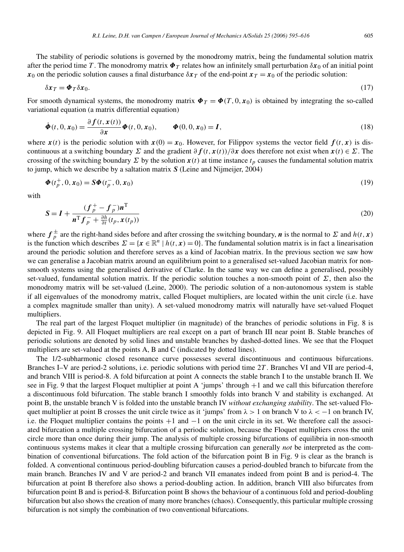The stability of periodic solutions is governed by the monodromy matrix, being the fundamental solution matrix after the period time *T*. The monodromy matrix  $\Phi_T$  relates how an infinitely small perturbation  $\delta x_0$  of an initial point  $x_0$  on the periodic solution causes a final disturbance  $\delta x_T$  of the end-point  $x_T = x_0$  of the periodic solution:

$$
\delta x_T = \Phi_T \delta x_0. \tag{17}
$$

For smooth dynamical systems, the monodromy matrix  $\Phi_T = \Phi(T, 0, x_0)$  is obtained by integrating the so-called variational equation (a matrix differential equation)

$$
\dot{\boldsymbol{\phi}}(t,0,x_0) = \frac{\partial f(t,x(t))}{\partial x} \boldsymbol{\Phi}(t,0,x_0), \qquad \boldsymbol{\Phi}(0,0,x_0) = \boldsymbol{I},
$$
\n(18)

where  $x(t)$  is the periodic solution with  $x(0) = x_0$ . However, for Filippov systems the vector field  $f(t, x)$  is discontinuous at a switching boundary  $\Sigma$  and the gradient  $\partial f(t, x(t))/\partial x$  does therefore not exist when  $x(t) \in \Sigma$ . The crossing of the switching boundary  $\Sigma$  by the solution  $x(t)$  at time instance  $t_p$  causes the fundamental solution matrix to jump, which we describe by a saltation matrix *S* (Leine and Nijmeijer, 2004)

$$
\mathbf{\Phi}(t_p^+, 0, \mathbf{x}_0) = \mathbf{S} \mathbf{\Phi}(t_p^-, 0, \mathbf{x}_0) \tag{19}
$$

with

$$
\mathbf{S} = \mathbf{I} + \frac{(\mathbf{f}_p^+ - \mathbf{f}_p^-)\mathbf{n}^\mathrm{T}}{\mathbf{n}^\mathrm{T}\mathbf{f}_p^- + \frac{\partial h}{\partial t}(t_p, \mathbf{x}(t_p))}
$$
(20)

where  $f_p^{\pm}$  are the right-hand sides before and after crossing the switching boundary, *n* is the normal to *Σ* and  $h(t, x)$ is the function which describes  $\Sigma = \{x \in \mathbb{R}^n \mid h(t, x) = 0\}$ . The fundamental solution matrix is in fact a linearisation around the periodic solution and therefore serves as a kind of Jacobian matrix. In the previous section we saw how we can generalise a Jacobian matrix around an equilibrium point to a generalised set-valued Jacobian matrix for nonsmooth systems using the generalised derivative of Clarke. In the same way we can define a generalised, possibly set-valued, fundamental solution matrix. If the periodic solution touches a non-smooth point of *Σ*, then also the monodromy matrix will be set-valued (Leine, 2000). The periodic solution of a non-autonomous system is stable if all eigenvalues of the monodromy matrix, called Floquet multipliers, are located within the unit circle (i.e. have a complex magnitude smaller than unity). A set-valued monodromy matrix will naturally have set-valued Floquet multipliers.

The real part of the largest Floquet multiplier (in magnitude) of the branches of periodic solutions in Fig. 8 is depicted in Fig. 9. All Floquet multipliers are real except on a part of branch III near point B. Stable branches of periodic solutions are denoted by solid lines and unstable branches by dashed-dotted lines. We see that the Floquet multipliers are set-valued at the points A, B and C (indicated by dotted lines).

The 1/2-subharmonic closed resonance curve possesses several discontinuous and continuous bifurcations. Branches I–V are period-2 solutions, i.e. periodic solutions with period time 2*T* . Branches VI and VII are period-4, and branch VIII is period-8. A fold bifurcation at point A connects the stable branch I to the unstable branch II. We see in Fig. 9 that the largest Floquet multiplier at point A 'jumps' through  $+1$  and we call this bifurcation therefore a discontinuous fold bifurcation. The stable branch I smoothly folds into branch V and stability is exchanged. At point B, the unstable branch V is folded into the unstable branch IV *without exchanging stability*. The set-valued Floquet multiplier at point B crosses the unit circle twice as it 'jumps' from *λ >* 1 on branch V to *λ <* −1 on branch IV, i.e. the Floquet multiplier contains the points +1 and −1 on the unit circle in its set. We therefore call the associated bifurcation a multiple crossing bifurcation of a periodic solution, because the Floquet multipliers cross the unit circle more than once during their jump. The analysis of multiple crossing bifurcations of equilibria in non-smooth continuous systems makes it clear that a multiple crossing bifurcation can generally *not* be interpreted as the combination of conventional bifurcations. The fold action of the bifurcation point B in Fig. 9 is clear as the branch is folded. A conventional continuous period-doubling bifurcation causes a period-doubled branch to bifurcate from the main branch. Branches IV and V are period-2 and branch VII emanates indeed from point B and is period-4. The bifurcation at point B therefore also shows a period-doubling action. In addition, branch VIII also bifurcates from bifurcation point B and is period-8. Bifurcation point B shows the behaviour of a continuous fold and period-doubling bifurcation but also shows the creation of many more branches (chaos). Consequently, this particular multiple crossing bifurcation is not simply the combination of two conventional bifurcations.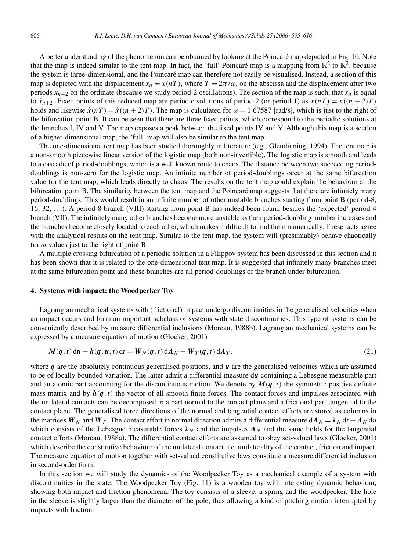A better understanding of the phenomenon can be obtained by looking at the Poincaré map depicted in Fig. 10. Note that the map is indeed similar to the tent map. In fact, the 'full' Poincaré map is a mapping from  $\mathbb{R}^2$  to  $\mathbb{R}^2$ , because the system is three-dimensional, and the Poincaré map can therefore not easily be visualised. Instead, a section of this map is depicted with the displacement  $x_n = x(nT)$ , where  $T = 2\pi/\omega$ , on the abscissa and the displacement after two periods  $x_{n+2}$  on the ordinate (because we study period-2 oscillations). The section of the map is such, that  $\dot{x}_n$  is equal to  $\dot{x}_{n+2}$ . Fixed points of this reduced map are periodic solutions of period-2 (or period-1) as  $x(nT) = x((n + 2)T)$ holds and likewise  $\dot{x}(nT) = \dot{x}((n+2)T)$ . The map is calculated for  $\omega = 1.67587$  [rad/s], which is just to the right of the bifurcation point B. It can be seen that there are three fixed points, which correspond to the periodic solutions at the branches I, IV and V. The map exposes a peak between the fixed points IV and V. Although this map is a section of a higher-dimensional map, the 'full' map will also be similar to the tent map.

The one-dimensional tent map has been studied thoroughly in literature (e.g., Glendinning, 1994). The tent map is a non-smooth piecewise linear version of the logistic map (both non-invertible). The logistic map is smooth and leads to a cascade of period-doublings, which is a well known route to chaos. The distance between two succeeding perioddoublings is non-zero for the logistic map. An infinite number of period-doublings occur at the same bifurcation value for the tent map, which leads directly to chaos. The results on the tent map could explain the behaviour at the bifurcation point B. The similarity between the tent map and the Poincaré map suggests that there are infinitely many period-doublings. This would result in an infinite number of other unstable branches starting from point B (period-8, 16, 32, *...*). A period-8 branch (VIII) starting from point B has indeed been found besides the 'expected' period-4 branch (VII). The infinitely many other branches become more unstable as their period-doubling number increases and the branches become closely located to each other, which makes it difficult to find them numerically. These facts agree with the analytical results on the tent map. Similar to the tent map, the system will (presumably) behave chaotically for *ω*-values just to the right of point B.

A multiple crossing bifurcation of a periodic solution in a Filippov system has been discussed in this section and it has been shown that it is related to the one-dimensional tent map. It is suggested that infinitely many branches meet at the same bifurcation point and these branches are all period-doublings of the branch under bifurcation.

### **4. Systems with impact: the Woodpecker Toy**

Lagrangian mechanical systems with (frictional) impact undergo discontinuities in the generalised velocities when an impact occurs and form an important subclass of systems with state discontinuities. This type of systems can be conveniently described by measure differential inclusions (Moreau, 1988b). Lagrangian mechanical systems can be expressed by a measure equation of motion (Glocker, 2001)

$$
M(q, t) du - h(q, u, t) dt = W_N(q, t) dA_N + W_T(q, t) dA_T,
$$
\n(21)

where *q* are the absolutely continuous generalised positions, and *u* are the generalised velocities which are assumed to be of locally bounded variation. The latter admit a differential measure d*u* containing a Lebesgue measurable part and an atomic part accounting for the discontinuous motion. We denote by  $M(q, t)$  the symmetric positive definite mass matrix and by  $h(q, t)$  the vector of all smooth finite forces. The contact forces and impulses associated with the unilateral contacts can be decomposed in a part normal to the contact plane and a frictional part tangential to the contact plane. The generalised force directions of the normal and tangential contact efforts are stored as columns in the matrices *W<sub>N</sub>* and *W<sub>T</sub>*. The contact effort in normal direction admits a differential measure  $dΛ<sub>N</sub> = λ<sub>N</sub> d*t* + Λ<sub>N</sub> dη$ which consists of the Lebesgue measurable forces  $\lambda_N$  and the impulses  $\Lambda_N$  and the same holds for the tangential contact efforts (Moreau, 1988a). The differential contact efforts are assumed to obey set-valued laws (Glocker, 2001) which describe the constitutive behaviour of the unilateral contact, i.e. unilaterality of the contact, friction and impact. The measure equation of motion together with set-valued constitutive laws constitute a measure differential inclusion in second-order form.

In this section we will study the dynamics of the Woodpecker Toy as a mechanical example of a system with discontinuities in the state. The Woodpecker Toy (Fig. 11) is a wooden toy with interesting dynamic behaviour, showing both impact and friction phenomena. The toy consists of a sleeve, a spring and the woodpecker. The hole in the sleeve is slightly larger than the diameter of the pole, thus allowing a kind of pitching motion interrupted by impacts with friction.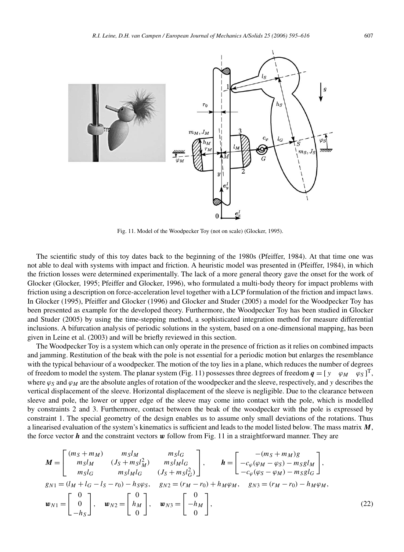

Fig. 11. Model of the Woodpecker Toy (not on scale) (Glocker, 1995).

The scientific study of this toy dates back to the beginning of the 1980s (Pfeiffer, 1984). At that time one was not able to deal with systems with impact and friction. A heuristic model was presented in (Pfeiffer, 1984), in which the friction losses were determined experimentally. The lack of a more general theory gave the onset for the work of Glocker (Glocker, 1995; Pfeiffer and Glocker, 1996), who formulated a multi-body theory for impact problems with friction using a description on force-acceleration level together with a LCP formulation of the friction and impact laws. In Glocker (1995), Pfeiffer and Glocker (1996) and Glocker and Studer (2005) a model for the Woodpecker Toy has been presented as example for the developed theory. Furthermore, the Woodpecker Toy has been studied in Glocker and Studer (2005) by using the time-stepping method, a sophisticated integration method for measure differential inclusions. A bifurcation analysis of periodic solutions in the system, based on a one-dimensional mapping, has been given in Leine et al. (2003) and will be briefly reviewed in this section.

The Woodpecker Toy is a system which can only operate in the presence of friction as it relies on combined impacts and jamming. Restitution of the beak with the pole is not essential for a periodic motion but enlarges the resemblance with the typical behaviour of a woodpecker. The motion of the toy lies in a plane, which reduces the number of degrees of freedom to model the system. The planar system (Fig. 11) possesses three degrees of freedom  $q = [y \quad \varphi_M \quad \varphi_S]^{T}$ , where *ϕS* and *ϕM* are the absolute angles of rotation of the woodpecker and the sleeve, respectively, and *y* describes the vertical displacement of the sleeve. Horizontal displacement of the sleeve is negligible. Due to the clearance between sleeve and pole, the lower or upper edge of the sleeve may come into contact with the pole, which is modelled by constraints 2 and 3. Furthermore, contact between the beak of the woodpecker with the pole is expressed by constraint 1. The special geometry of the design enables us to assume only small deviations of the rotations. Thus a linearised evaluation of the system's kinematics is sufficient and leads to the model listed below. The mass matrix *M*, the force vector *h* and the constraint vectors *w* follow from Fig. 11 in a straightforward manner. They are

$$
M = \begin{bmatrix} (m_S + m_M) & m_S l_M & m_S l_G \\ m_S l_M & (J_S + m_S l_M^2) & m_S l_M l_G \\ m_S l_G & m_S l_M l_G & (J_S + m_S l_G^2) \end{bmatrix}, \qquad h = \begin{bmatrix} -(m_S + m_M)g \\ -c_\varphi(\varphi_M - \varphi_S) - m_S g l_M \\ -c_\varphi(\varphi_S - \varphi_M) - m_S g l_G \end{bmatrix},
$$
  
\n
$$
g_{N1} = (l_M + l_G - l_S - r_0) - h_S \varphi_S, \qquad g_{N2} = (r_M - r_0) + h_M \varphi_M, \qquad g_{N3} = (r_M - r_0) - h_M \varphi_M,
$$
  
\n
$$
\mathbf{w}_{N1} = \begin{bmatrix} 0 \\ 0 \\ -h_S \end{bmatrix}, \qquad \mathbf{w}_{N2} = \begin{bmatrix} 0 \\ h_M \\ 0 \end{bmatrix}, \qquad \mathbf{w}_{N3} = \begin{bmatrix} 0 \\ -h_M \\ 0 \end{bmatrix}, \qquad (22)
$$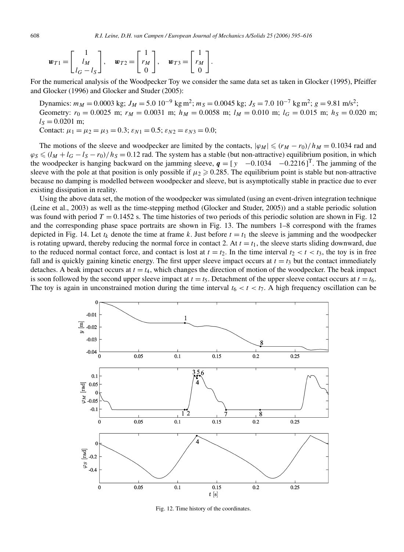*.*

$$
\mathbf{w}_{T1} = \begin{bmatrix} 1 \\ l_M \\ l_G - l_S \end{bmatrix}, \quad \mathbf{w}_{T2} = \begin{bmatrix} 1 \\ r_M \\ 0 \end{bmatrix}, \quad \mathbf{w}_{T3} = \begin{bmatrix} 1 \\ r_M \\ 0 \end{bmatrix}
$$

For the numerical analysis of the Woodpecker Toy we consider the same data set as taken in Glocker (1995), Pfeiffer and Glocker (1996) and Glocker and Studer (2005):

Dynamics:  $m_M = 0.0003$  kg;  $J_M = 5.0$  10<sup>-9</sup> kg m<sup>2</sup>;  $m_S = 0.0045$  kg;  $J_S = 7.0$  10<sup>-7</sup> kg m<sup>2</sup>;  $g = 9.81$  m/s<sup>2</sup>; Geometry:  $r_0 = 0.0025$  m;  $r_M = 0.0031$  m;  $h_M = 0.0058$  m;  $l_M = 0.010$  m;  $l_G = 0.015$  m;  $h_S = 0.020$  m;  $l<sub>S</sub> = 0.0201$  m; Contact:  $\mu_1 = \mu_2 = \mu_3 = 0.3$ ;  $\varepsilon_{N1} = 0.5$ ;  $\varepsilon_{N2} = \varepsilon_{N3} = 0.0$ ;

The motions of the sleeve and woodpecker are limited by the contacts,  $|\varphi_M| \le (r_M - r_0)/h_M = 0.1034$  rad and  $\varphi_S \leq (l_M + l_G - l_S - r_0)/h_S = 0.12$  rad. The system has a stable (but non-attractive) equilibrium position, in which the woodpecker is hanging backward on the jamming sleeve,  $q = [y -0.1034 -0.2216]^T$ . The jamming of the sleeve with the pole at that position is only possible if  $\mu_2 \geq 0.285$ . The equilibrium point is stable but non-attractive because no damping is modelled between woodpecker and sleeve, but is asymptotically stable in practice due to ever existing dissipation in reality.

Using the above data set, the motion of the woodpecker was simulated (using an event-driven integration technique (Leine et al., 2003) as well as the time-stepping method (Glocker and Studer, 2005)) and a stable periodic solution was found with period  $T = 0.1452$  s. The time histories of two periods of this periodic solution are shown in Fig. 12 and the corresponding phase space portraits are shown in Fig. 13. The numbers 1–8 correspond with the frames depicted in Fig. 14. Let  $t_k$  denote the time at frame k. Just before  $t = t_1$  the sleeve is jamming and the woodpecker is rotating upward, thereby reducing the normal force in contact 2. At  $t = t_1$ , the sleeve starts sliding downward, due to the reduced normal contact force, and contact is lost at  $t = t_2$ . In the time interval  $t_2 < t < t_3$ , the toy is in free fall and is quickly gaining kinetic energy. The first upper sleeve impact occurs at  $t = t_3$  but the contact immediately detaches. A beak impact occurs at  $t = t_4$ , which changes the direction of motion of the woodpecker. The beak impact is soon followed by the second upper sleeve impact at  $t = t_5$ . Detachment of the upper sleeve contact occurs at  $t = t_6$ . The toy is again in unconstrained motion during the time interval  $t_6 < t < t_7$ . A high frequency oscillation can be



Fig. 12. Time history of the coordinates.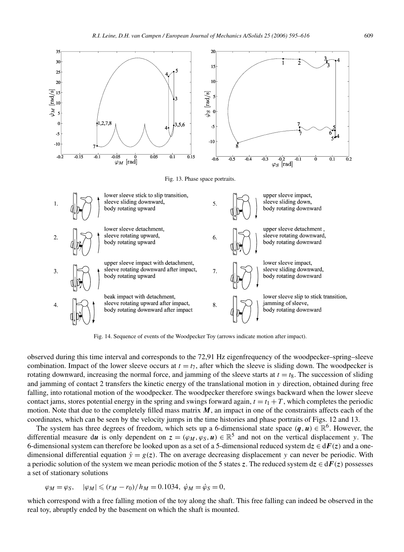

Fig. 14. Sequence of events of the Woodpecker Toy (arrows indicate motion after impact).

observed during this time interval and corresponds to the 72,91 Hz eigenfrequency of the woodpecker–spring–sleeve combination. Impact of the lower sleeve occurs at  $t = t_7$ , after which the sleeve is sliding down. The woodpecker is rotating downward, increasing the normal force, and jamming of the sleeve starts at  $t = t_8$ . The succession of sliding and jamming of contact 2 transfers the kinetic energy of the translational motion in *y* direction, obtained during free falling, into rotational motion of the woodpecker. The woodpecker therefore swings backward when the lower sleeve contact jams, stores potential energy in the spring and swings forward again,  $t = t_1 + T$ , which completes the periodic motion. Note that due to the completely filled mass matrix *M*, an impact in one of the constraints affects each of the coordinates, which can be seen by the velocity jumps in the time histories and phase portraits of Figs. 12 and 13.

The system has three degrees of freedom, which sets up a 6-dimensional state space  $(q, u) \in \mathbb{R}^6$ . However, the differential measure du is only dependent on  $z = (\varphi_M, \varphi_S, u) \in \mathbb{R}^5$  and not on the vertical displacement *y*. The 6-dimensional system can therefore be looked upon as a set of a 5-dimensional reduced system  $d\mathbf{z} \in d\mathbf{F}(\mathbf{z})$  and a onedimensional differential equation  $\dot{y} = g(z)$ . The on average decreasing displacement *y* can never be periodic. With a periodic solution of the system we mean periodic motion of the 5 states *z*. The reduced system  $dz \in dF(z)$  possesses a set of stationary solutions

$$
\varphi_M = \varphi_S, \quad |\varphi_M| \le (r_M - r_0)/h_M = 0.1034, \ \dot{\varphi}_M = \dot{\varphi}_S = 0,
$$

which correspond with a free falling motion of the toy along the shaft. This free falling can indeed be observed in the real toy, abruptly ended by the basement on which the shaft is mounted.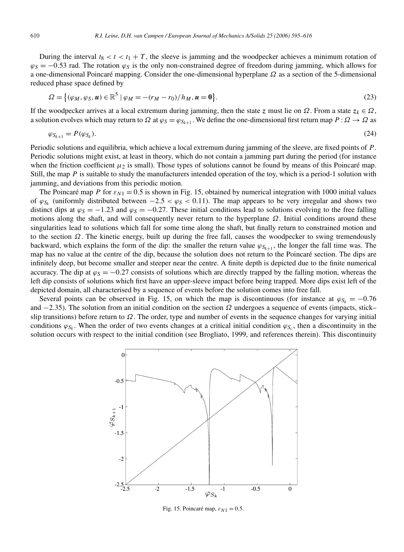During the interval  $t_8 < t < t_1 + T$ , the sleeve is jamming and the woodpecker achieves a minimum rotation of  $\varphi_S = -0.53$  rad. The rotation  $\varphi_S$  is the only non-constrained degree of freedom during jamming, which allows for a one-dimensional Poincaré mapping. Consider the one-dimensional hyperplane *Ω* as a section of the 5-dimensional reduced phase space defined by

$$
\Omega = \left\{ (\varphi_M, \varphi_S, \mathbf{u}) \in \mathbb{R}^5 \mid \varphi_M = -(r_M - r_0)/h_M, \mathbf{u} = \mathbf{0} \right\}.
$$
\n
$$
(23)
$$

If the woodpecker arrives at a local extremum during jamming, then the state *z* must lie on  $\Omega$ . From a state  $z_k \in \Omega$ , a solution evolves which may return to  $\Omega$  at  $\varphi_S = \varphi_{S_{k+1}}$ . We define the one-dimensional first return map  $P: \Omega \to \Omega$  as

$$
\varphi_{S_{k+1}} = P(\varphi_{S_k}).\tag{24}
$$

Periodic solutions and equilibria, which achieve a local extremum during jamming of the sleeve, are fixed points of *P* . Periodic solutions might exist, at least in theory, which do not contain a jamming part during the period (for instance when the friction coefficient  $\mu_2$  is small). Those types of solutions cannot be found by means of this Poincaré map. Still, the map *P* is suitable to study the manufacturers intended operation of the toy, which is a period-1 solution with jamming, and deviations from this periodic motion.

The Poincaré map *P* for  $\varepsilon_{N1} = 0.5$  is shown in Fig. 15, obtained by numerical integration with 1000 initial values of  $\varphi_{S_k}$  (uniformly distributed between  $-2.5 < \varphi_S < 0.11$ ). The map appears to be very irregular and shows two distinct dips at  $\varphi_S = -1.23$  and  $\varphi_S = -0.27$ . These initial conditions lead to solutions evolving to the free falling motions along the shaft, and will consequently never return to the hyperplane *Ω*. Initial conditions around these singularities lead to solutions which fall for some time along the shaft, but finally return to constrained motion and to the section *Ω*. The kinetic energy, built up during the free fall, causes the woodpecker to swing tremendously backward, which explains the form of the dip: the smaller the return value  $\varphi_{S_{k+1}}$ , the longer the fall time was. The map has no value at the centre of the dip, because the solution does not return to the Poincaré section. The dips are infinitely deep, but become smaller and steeper near the centre. A finite depth is depicted due to the finite numerical accuracy. The dip at  $\varphi_s = -0.27$  consists of solutions which are directly trapped by the falling motion, whereas the left dip consists of solutions which first have an upper-sleeve impact before being trapped. More dips exist left of the depicted domain, all characterised by a sequence of events before the solution comes into free fall.

Several points can be observed in Fig. 15, on which the map is discontinuous (for instance at  $\varphi_{S_k} = -0.76$ and −2*.*35). The solution from an initial condition on the section *Ω* undergoes a sequence of events (impacts, stick– slip transitions) before return to *Ω*. The order, type and number of events in the sequence changes for varying initial conditions  $\varphi_{S_k}$ . When the order of two events changes at a critical initial condition  $\varphi_{S_c}$ , then a discontinuity in the solution occurs with respect to the initial condition (see Brogliato, 1999, and references therein). This discontinuity



Fig. 15. Poincaré map,  $\varepsilon_{N1} = 0.5$ .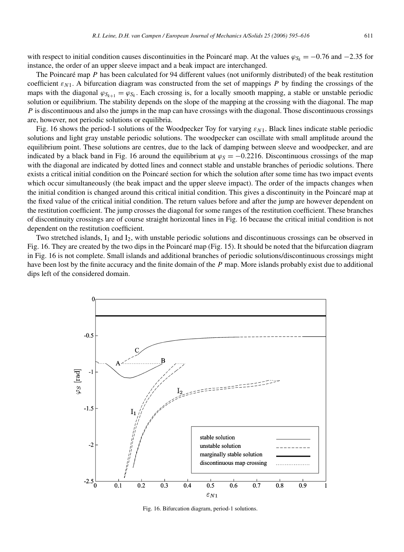with respect to initial condition causes discontinuities in the Poincaré map. At the values  $\varphi_{S_k} = -0.76$  and  $-2.35$  for instance, the order of an upper sleeve impact and a beak impact are interchanged.

The Poincaré map *P* has been calculated for 94 different values (not uniformly distributed) of the beak restitution coefficient  $\epsilon_{N1}$ . A bifurcation diagram was constructed from the set of mappings *P* by finding the crossings of the maps with the diagonal  $\varphi_{S_{k+1}} = \varphi_{S_k}$ . Each crossing is, for a locally smooth mapping, a stable or unstable periodic solution or equilibrium. The stability depends on the slope of the mapping at the crossing with the diagonal. The map *P* is discontinuous and also the jumps in the map can have crossings with the diagonal. Those discontinuous crossings are, however, not periodic solutions or equilibria.

Fig. 16 shows the period-1 solutions of the Woodpecker Toy for varying  $\varepsilon_{N1}$ . Black lines indicate stable periodic solutions and light gray unstable periodic solutions. The woodpecker can oscillate with small amplitude around the equilibrium point. These solutions are centres, due to the lack of damping between sleeve and woodpecker, and are indicated by a black band in Fig. 16 around the equilibrium at  $\varphi_S = -0.2216$ . Discontinuous crossings of the map with the diagonal are indicated by dotted lines and connect stable and unstable branches of periodic solutions. There exists a critical initial condition on the Poincaré section for which the solution after some time has two impact events which occur simultaneously (the beak impact and the upper sleeve impact). The order of the impacts changes when the initial condition is changed around this critical initial condition. This gives a discontinuity in the Poincaré map at the fixed value of the critical initial condition. The return values before and after the jump are however dependent on the restitution coefficient. The jump crosses the diagonal for some ranges of the restitution coefficient. These branches of discontinuity crossings are of course straight horizontal lines in Fig. 16 because the critical initial condition is not dependent on the restitution coefficient.

Two stretched islands,  $I_1$  and  $I_2$ , with unstable periodic solutions and discontinuous crossings can be observed in Fig. 16. They are created by the two dips in the Poincaré map (Fig. 15). It should be noted that the bifurcation diagram in Fig. 16 is not complete. Small islands and additional branches of periodic solutions/discontinuous crossings might have been lost by the finite accuracy and the finite domain of the *P* map. More islands probably exist due to additional dips left of the considered domain.



Fig. 16. Bifurcation diagram, period-1 solutions.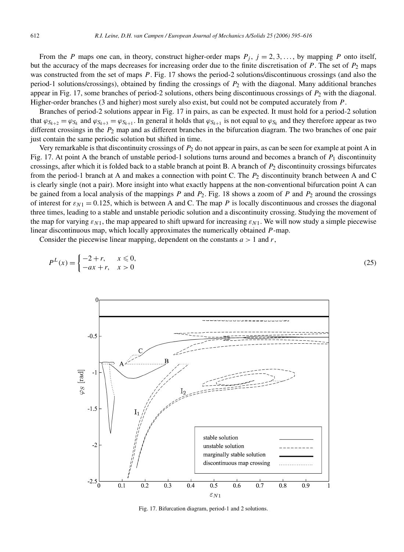From the *P* maps one can, in theory, construct higher-order maps  $P_j$ ,  $j = 2, 3, \ldots$ , by mapping *P* onto itself, but the accuracy of the maps decreases for increasing order due to the finite discretisation of  $P$ . The set of  $P_2$  maps was constructed from the set of maps *P*. Fig. 17 shows the period-2 solutions/discontinuous crossings (and also the period-1 solutions/crossings), obtained by finding the crossings of  $P_2$  with the diagonal. Many additional branches appear in Fig. 17, some branches of period-2 solutions, others being discontinuous crossings of *P*<sup>2</sup> with the diagonal. Higher-order branches (3 and higher) most surely also exist, but could not be computed accurately from *P* .

Branches of period-2 solutions appear in Fig. 17 in pairs, as can be expected. It must hold for a period-2 solution that  $\varphi_{S_{k+2}} = \varphi_{S_k}$  and  $\varphi_{S_{k+3}} = \varphi_{S_{k+1}}$ . In general it holds that  $\varphi_{S_{k+1}}$  is not equal to  $\varphi_{S_k}$  and they therefore appear as two different crossings in the *P*<sup>2</sup> map and as different branches in the bifurcation diagram. The two branches of one pair just contain the same periodic solution but shifted in time.

Very remarkable is that discontinuity crossings of *P*<sup>2</sup> do not appear in pairs, as can be seen for example at point A in Fig. 17. At point A the branch of unstable period-1 solutions turns around and becomes a branch of *P*<sup>1</sup> discontinuity crossings, after which it is folded back to a stable branch at point B. A branch of *P*<sup>2</sup> discontinuity crossings bifurcates from the period-1 branch at A and makes a connection with point C. The *P*<sup>2</sup> discontinuity branch between A and C is clearly single (not a pair). More insight into what exactly happens at the non-conventional bifurcation point A can be gained from a local analysis of the mappings  $P$  and  $P_2$ . Fig. 18 shows a zoom of  $P$  and  $P_2$  around the crossings of interest for  $\varepsilon_{N1} = 0.125$ , which is between A and C. The map P is locally discontinuous and crosses the diagonal three times, leading to a stable and unstable periodic solution and a discontinuity crossing. Studying the movement of the map for varying  $\varepsilon_{N1}$ , the map appeared to shift upward for increasing  $\varepsilon_{N1}$ . We will now study a simple piecewise linear discontinuous map, which locally approximates the numerically obtained *P* -map.

Consider the piecewise linear mapping, dependent on the constants  $a > 1$  and  $r$ ,

$$
P^{L}(x) = \begin{cases} -2+r, & x \leq 0, \\ -ax+r, & x > 0 \end{cases}
$$
\n
$$
(25)
$$



Fig. 17. Bifurcation diagram, period-1 and 2 solutions.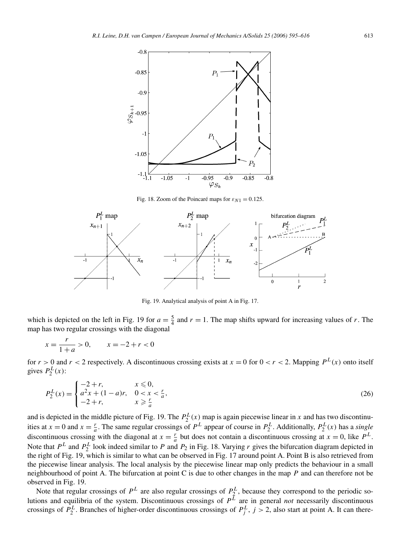

Fig. 18. Zoom of the Poincaré maps for  $\varepsilon_{N1} = 0.125$ .



Fig. 19. Analytical analysis of point A in Fig. 17.

which is depicted on the left in Fig. 19 for  $a = \frac{5}{4}$  and  $r = 1$ . The map shifts upward for increasing values of *r*. The map has two regular crossings with the diagonal

$$
x = \frac{r}{1+a} > 0, \qquad x = -2 + r < 0
$$

for  $r > 0$  and  $r < 2$  respectively. A discontinuous crossing exists at  $x = 0$  for  $0 < r < 2$ . Mapping  $P^L(x)$  onto itself gives  $P_2^L(x)$ :

$$
P_2^L(x) = \begin{cases} -2+r, & x \le 0, \\ a^2x + (1-a)r, & 0 < x < \frac{r}{a}, \\ -2+r, & x \ge \frac{r}{a} \end{cases}
$$
 (26)

and is depicted in the middle picture of Fig. 19. The  $P_2^L(x)$  map is again piecewise linear in *x* and has two discontinuities at  $x = 0$  and  $x = \frac{r}{a}$ . The same regular crossings of  $P^L$  appear of course in  $P_2^L$ . Additionally,  $P_2^L(x)$  has a *single* discontinuous crossing with the diagonal at  $x = \frac{r}{a}$  but does not contain a discontinuous crossing at  $x = 0$ , like  $P^L$ . Note that  $P^L$  and  $P_2^L$  look indeed similar to  $P$  and  $P_2$  in Fig. 18. Varying  $r$  gives the bifurcation diagram depicted in the right of Fig. 19, which is similar to what can be observed in Fig. 17 around point A. Point B is also retrieved from the piecewise linear analysis. The local analysis by the piecewise linear map only predicts the behaviour in a small neighbourhood of point A. The bifurcation at point C is due to other changes in the map *P* and can therefore not be observed in Fig. 19.

Note that regular crossings of  $P^L$  are also regular crossings of  $P_2^L$ , because they correspond to the periodic solutions and equilibria of the system. Discontinuous crossings of  $P^{\bar{L}}$  are in general *not* necessarily discontinuous crossings of  $P_2^L$ . Branches of higher-order discontinuous crossings of  $P_j^L$ ,  $j > 2$ , also start at point A. It can there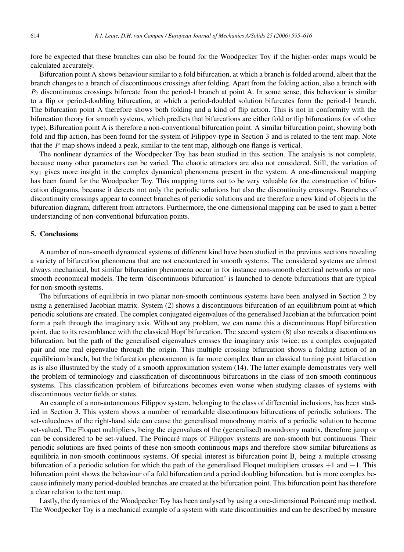fore be expected that these branches can also be found for the Woodpecker Toy if the higher-order maps would be calculated accurately.

Bifurcation point A shows behaviour similar to a fold bifurcation, at which a branch is folded around, albeit that the branch changes to a branch of discontinuous crossings after folding. Apart from the folding action, also a branch with *P*<sup>2</sup> discontinuous crossings bifurcate from the period-1 branch at point A. In some sense, this behaviour is similar to a flip or period-doubling bifurcation, at which a period-doubled solution bifurcates form the period-1 branch. The bifurcation point A therefore shows both folding and a kind of flip action. This is not in conformity with the bifurcation theory for smooth systems, which predicts that bifurcations are either fold or flip bifurcations (or of other type). Bifurcation point A is therefore a non-conventional bifurcation point. A similar bifurcation point, showing both fold and flip action, has been found for the system of Filippov-type in Section 3 and is related to the tent map. Note that the *P* map shows indeed a peak, similar to the tent map, although one flange is vertical.

The nonlinear dynamics of the Woodpecker Toy has been studied in this section. The analysis is not complete, because many other parameters can be varied. The chaotic attractors are also not considered. Still, the variation of  $\varepsilon_{N1}$  gives more insight in the complex dynamical phenomena present in the system. A one-dimensional mapping has been found for the Woodpecker Toy. This mapping turns out to be very valuable for the construction of bifurcation diagrams, because it detects not only the periodic solutions but also the discontinuity crossings. Branches of discontinuity crossings appear to connect branches of periodic solutions and are therefore a new kind of objects in the bifurcation diagram, different from attractors. Furthermore, the one-dimensional mapping can be used to gain a better understanding of non-conventional bifurcation points.

## **5. Conclusions**

A number of non-smooth dynamical systems of different kind have been studied in the previous sections revealing a variety of bifurcation phenomena that are not encountered in smooth systems. The considered systems are almost always mechanical, but similar bifurcation phenomena occur in for instance non-smooth electrical networks or nonsmooth economical models. The term 'discontinuous bifurcation' is launched to denote bifurcations that are typical for non-smooth systems.

The bifurcations of equilibria in two planar non-smooth continuous systems have been analysed in Section 2 by using a generalised Jacobian matrix. System (2) shows a discontinuous bifurcation of an equilibrium point at which periodic solutions are created. The complex conjugated eigenvalues of the generalised Jacobian at the bifurcation point form a path through the imaginary axis. Without any problem, we can name this a discontinuous Hopf bifurcation point, due to its resemblance with the classical Hopf bifurcation. The second system (8) also reveals a discontinuous bifurcation, but the path of the generalised eigenvalues crosses the imaginary axis twice: as a complex conjugated pair and one real eigenvalue through the origin. This multiple crossing bifurcation shows a folding action of an equilibrium branch, but the bifurcation phenomenon is far more complex than an classical turning point bifurcation as is also illustrated by the study of a smooth approximation system (14). The latter example demonstrates very well the problem of terminology and classification of discontinuous bifurcations in the class of non-smooth continuous systems. This classification problem of bifurcations becomes even worse when studying classes of systems with discontinuous vector fields or states.

An example of a non-autonomous Filippov system, belonging to the class of differential inclusions, has been studied in Section 3. This system shows a number of remarkable discontinuous bifurcations of periodic solutions. The set-valuedness of the right-hand side can cause the generalised monodromy matrix of a periodic solution to become set-valued. The Floquet multipliers, being the eigenvalues of the (generalised) monodromy matrix, therefore jump or can be considered to be set-valued. The Poincaré maps of Filippov systems are non-smooth but continuous. Their periodic solutions are fixed points of these non-smooth continuous maps and therefore show similar bifurcations as equilibria in non-smooth continuous systems. Of special interest is bifurcation point B, being a multiple crossing bifurcation of a periodic solution for which the path of the generalised Floquet multipliers crosses +1 and −1. This bifurcation point shows the behaviour of a fold bifurcation and a period doubling bifurcation, but is more complex because infinitely many period-doubled branches are created at the bifurcation point. This bifurcation point has therefore a clear relation to the tent map.

Lastly, the dynamics of the Woodpecker Toy has been analysed by using a one-dimensional Poincaré map method. The Woodpecker Toy is a mechanical example of a system with state discontinuities and can be described by measure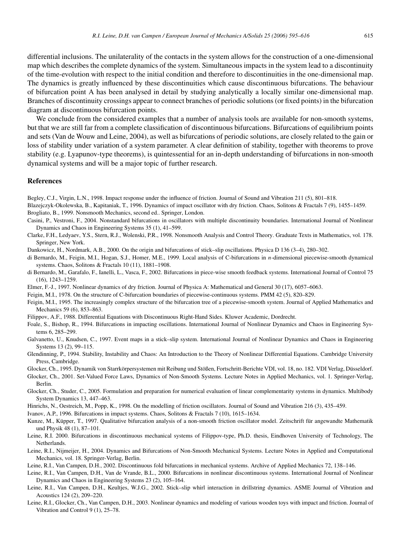differential inclusions. The unilaterality of the contacts in the system allows for the construction of a one-dimensional map which describes the complete dynamics of the system. Simultaneous impacts in the system lead to a discontinuity of the time-evolution with respect to the initial condition and therefore to discontinuities in the one-dimensional map. The dynamics is greatly influenced by these discontinuities which cause discontinuous bifurcations. The behaviour of bifurcation point A has been analysed in detail by studying analytically a locally similar one-dimensional map. Branches of discontinuity crossings appear to connect branches of periodic solutions (or fixed points) in the bifurcation diagram at discontinuous bifurcation points.

We conclude from the considered examples that a number of analysis tools are available for non-smooth systems, but that we are still far from a complete classification of discontinuous bifurcations. Bifurcations of equilibrium points and sets (Van de Wouw and Leine, 2004), as well as bifurcations of periodic solutions, are closely related to the gain or loss of stability under variation of a system parameter. A clear definition of stability, together with theorems to prove stability (e.g. Lyapunov-type theorems), is quintessential for an in-depth understanding of bifurcations in non-smooth dynamical systems and will be a major topic of further research.

#### **References**

Begley, C.J., Virgin, L.N., 1998. Impact response under the influence of friction. Journal of Sound and Vibration 211 (5), 801–818.

Blazejczyk-Okolewska, B., Kapitaniak, T., 1996. Dynamics of impact oscillator with dry friction. Chaos, Solitons & Fractals 7 (9), 1455–1459. Brogliato, B., 1999. Nonsmooth Mechanics, second ed.. Springer, London.

- Casini, P., Vestroni, F., 2004. Nonstandard bifurcations in oscillators with multiple discontinuity boundaries. International Journal of Nonlinear Dynamics and Chaos in Engineering Systems 35 (1), 41–599.
- Clarke, F.H., Ledyaev, Y.S., Stern, R.J., Wolenski, P.R., 1998. Nonsmooth Analysis and Control Theory. Graduate Texts in Mathematics, vol. 178. Springer, New York.

Dankowicz, H., Nordmark, A.B., 2000. On the origin and bifurcations of stick–slip oscillations. Physica D 136 (3–4), 280–302.

- di Bernardo, M., Feigin, M.I., Hogan, S.J., Homer, M.E., 1999. Local analysis of C-bifurcations in *n*-dimensional piecewise-smooth dynamical systems. Chaos, Solitons & Fractals 10 (11), 1881–1908.
- di Bernardo, M., Garafalo, F., Ianelli, L., Vasca, F., 2002. Bifurcations in piece-wise smooth feedback systems. International Journal of Control 75 (16), 1243–1259.
- Elmer, F.-J., 1997. Nonlinear dynamics of dry friction. Journal of Physica A: Mathematical and General 30 (17), 6057–6063.
- Feigin, M.I., 1978. On the structure of C-bifurcation boundaries of piecewise-continuous systems. PMM 42 (5), 820–829.
- Feigin, M.I., 1995. The increasingly complex structure of the bifurcation tree of a piecewise-smooth system. Journal of Applied Mathematics and Mechanics 59 (6), 853–863.
- Filippov, A.F., 1988. Differential Equations with Discontinuous Right-Hand Sides. Kluwer Academic, Dordrecht.
- Foale, S., Bishop, R., 1994. Bifurcations in impacting oscillations. International Journal of Nonlinear Dynamics and Chaos in Engineering Systems 6, 285–299.
- Galvanetto, U., Knudsen, C., 1997. Event maps in a stick–slip system. International Journal of Nonlinear Dynamics and Chaos in Engineering Systems 13 (2), 99–115.
- Glendinning, P., 1994. Stability, Instability and Chaos: An Introduction to the Theory of Nonlinear Differential Equations. Cambridge University Press, Cambridge.
- Glocker, Ch., 1995. Dynamik von Starrkörpersystemen mit Reibung und Stößen, Fortschritt-Berichte VDI, vol. 18, no. 182. VDI Verlag, Düsseldorf.
- Glocker, Ch., 2001. Set-Valued Force Laws, Dynamics of Non-Smooth Systems. Lecture Notes in Applied Mechanics, vol. 1. Springer-Verlag, Berlin.
- Glocker, Ch., Studer, C., 2005. Formulation and preparation for numerical evaluation of linear complementarity systems in dynamics. Multibody System Dynamics 13, 447–463.
- Hinrichs, N., Oestreich, M., Popp, K., 1998. On the modelling of friction oscillators. Journal of Sound and Vibration 216 (3), 435–459.
- Ivanov, A.P., 1996. Bifurcations in impact systems. Chaos, Solitons & Fractals 7 (10), 1615–1634.
- Kunze, M., Küpper, T., 1997. Qualitative bifurcation analysis of a non-smooth friction oscillator model. Zeitschrift für angewandte Mathematik und Physik 48 (1), 87–101.
- Leine, R.I. 2000. Bifurcations in discontinuous mechanical systems of Filippov-type, Ph.D. thesis, Eindhoven University of Technology, The Netherlands.
- Leine, R.I., Nijmeijer, H., 2004. Dynamics and Bifurcations of Non-Smooth Mechanical Systems. Lecture Notes in Applied and Computational Mechanics, vol. 18. Springer-Verlag, Berlin.
- Leine, R.I., Van Campen, D.H., 2002. Discontinuous fold bifurcations in mechanical systems. Archive of Applied Mechanics 72, 138–146.
- Leine, R.I., Van Campen, D.H., Van de Vrande, B.L., 2000. Bifurcations in nonlinear discontinuous systems. International Journal of Nonlinear Dynamics and Chaos in Engineering Systems 23 (2), 105–164.
- Leine, R.I., Van Campen, D.H., Keultjes, W.J.G., 2002. Stick–slip whirl interaction in drillstring dynamics. ASME Journal of Vibration and Acoustics 124 (2), 209–220.
- Leine, R.I., Glocker, Ch., Van Campen, D.H., 2003. Nonlinear dynamics and modeling of various wooden toys with impact and friction. Journal of Vibration and Control 9 (1), 25–78.